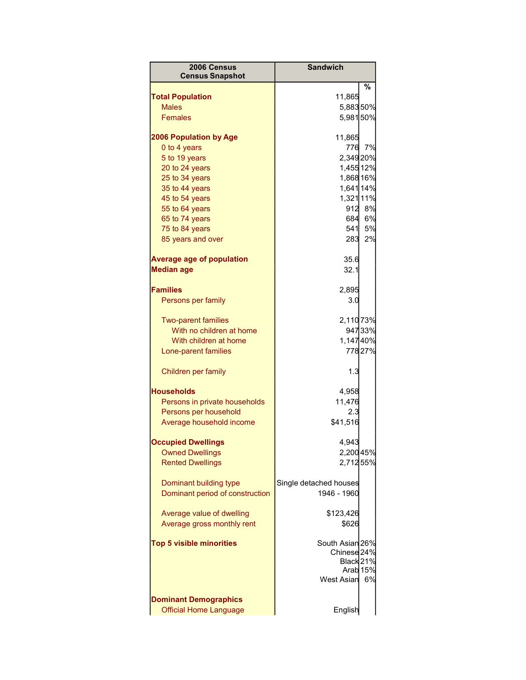| 2006 Census<br><b>Census Snapshot</b>                         | <b>Sandwich</b>                           |         |
|---------------------------------------------------------------|-------------------------------------------|---------|
| <b>Total Population</b>                                       |                                           | %       |
| <b>Males</b>                                                  | 11,865                                    |         |
|                                                               | 5,88350%                                  |         |
| <b>Females</b>                                                | 5,98150%                                  |         |
| <b>2006 Population by Age</b>                                 | 11,865                                    |         |
| 0 to 4 years                                                  | 776                                       | 7%      |
| 5 to 19 years                                                 | 2,34920%                                  |         |
| 20 to 24 years                                                | 1,455 12%                                 |         |
| 25 to 34 years                                                | 1,868 16%                                 |         |
| 35 to 44 years                                                | 1,641 14%                                 |         |
| 45 to 54 years                                                | 1,32111%                                  |         |
| 55 to 64 years                                                |                                           | 912 8%  |
| 65 to 74 years                                                | 684                                       | 6%      |
| 75 to 84 years                                                | 541                                       | 5%      |
| 85 years and over                                             | 283                                       | 2%      |
| <b>Average age of population</b><br><b>Median age</b>         | 35.6<br>32.1                              |         |
|                                                               |                                           |         |
| <b>Families</b>                                               | 2,895                                     |         |
| Persons per family                                            | 3.0                                       |         |
| <b>Two-parent families</b>                                    | 2,110 73%                                 |         |
| With no children at home                                      |                                           | 947 33% |
| With children at home                                         | 1,14740%                                  |         |
| Lone-parent families                                          |                                           | 77827%  |
| Children per family                                           | 1.3                                       |         |
| <b>Households</b>                                             | 4,958                                     |         |
| Persons in private households                                 | 11,476                                    |         |
| Persons per household                                         | 2.3                                       |         |
| Average household income                                      | \$41,516                                  |         |
| <b>Occupied Dwellings</b>                                     | 4,943                                     |         |
| <b>Owned Dwellings</b>                                        | 2,20045%                                  |         |
| <b>Rented Dwellings</b>                                       | 2,71255%                                  |         |
|                                                               |                                           |         |
| Dominant building type<br>Dominant period of construction     | Single detached houses<br>1946 - 1960     |         |
|                                                               |                                           |         |
| Average value of dwelling                                     | \$123,426                                 |         |
| Average gross monthly rent                                    | \$626                                     |         |
|                                                               |                                           |         |
| <b>Top 5 visible minorities</b>                               | South Asian 26%<br>Chinese <sub>24%</sub> |         |
|                                                               | Black 21%                                 |         |
|                                                               | Arab <sub>15%</sub>                       |         |
|                                                               | <b>West Asian</b>                         | 6%      |
|                                                               |                                           |         |
| <b>Dominant Demographics</b><br><b>Official Home Language</b> | English                                   |         |
|                                                               |                                           |         |